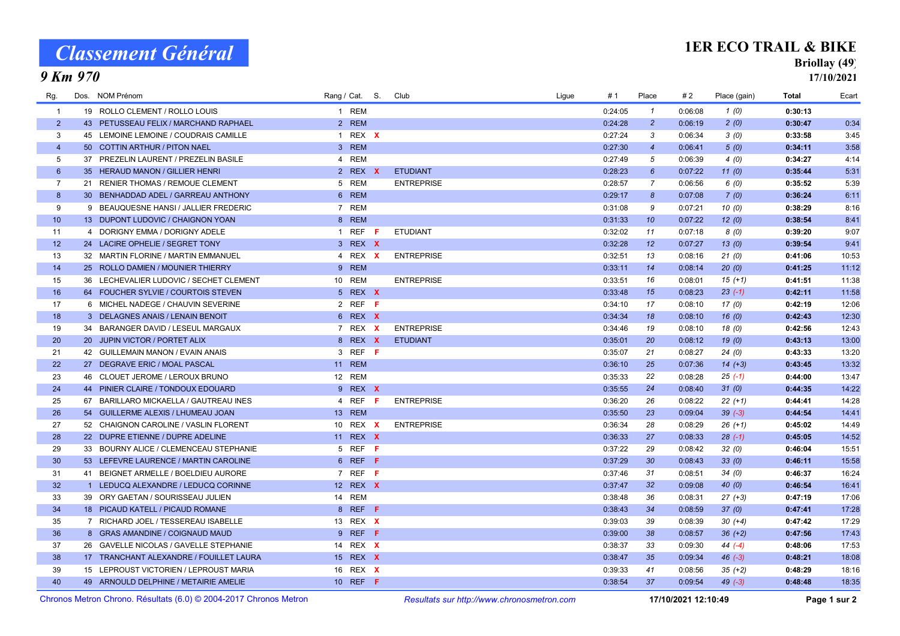# Classement Général

9 Km 970

#### 1ER ECO TRAIL & BIKE

### Briollay (49)

17/10/2021

| Rg.             | Dos. NOM Prénom                         | Rang / Cat. S.  |    | Club              | Ligue | # 1     | Place                 | # 2     | Place (gain) | <b>Total</b> | Ecart |
|-----------------|-----------------------------------------|-----------------|----|-------------------|-------|---------|-----------------------|---------|--------------|--------------|-------|
| $\overline{1}$  | 19 ROLLO CLEMENT / ROLLO LOUIS          | 1 REM           |    |                   |       | 0:24:05 | $\mathcal{I}$         | 0:06:08 | 1(0)         | 0:30:13      |       |
| $\overline{2}$  | 43 PETUSSEAU FELIX / MARCHAND RAPHAEL   | 2 REM           |    |                   |       | 0:24:28 | $\overline{2}$        | 0:06:19 | 2(0)         | 0:30:47      | 0:34  |
| 3               | 45 LEMOINE LEMOINE / COUDRAIS CAMILLE   | 1 REX X         |    |                   |       | 0:27:24 | 3                     | 0:06:34 | 3(0)         | 0:33:58      | 3:45  |
| $\overline{4}$  | 50 COTTIN ARTHUR / PITON NAEL           | 3 REM           |    |                   |       | 0:27:30 | $\overline{4}$        | 0:06:41 | 5(0)         | 0:34:11      | 3:58  |
| 5               | 37 PREZELIN LAURENT / PREZELIN BASILE   | 4 REM           |    |                   |       | 0:27:49 | 5                     | 0:06:39 | 4(0)         | 0:34:27      | 4:14  |
| $6\overline{6}$ | 35 HERAUD MANON / GILLIER HENRI         | 2 REX X         |    | <b>ETUDIANT</b>   |       | 0:28:23 | $6^{\circ}$           | 0:07:22 | 11(0)        | 0:35:44      | 5:31  |
| $\overline{7}$  | 21 RENIER THOMAS / REMOUE CLEMENT       | 5 REM           |    | <b>ENTREPRISE</b> |       | 0:28:57 | $\overline{7}$        | 0:06:56 | 6(0)         | 0:35:52      | 5:39  |
| 8               | 30 BENHADDAD ADEL / GARREAU ANTHONY     | 6 REM           |    |                   |       | 0:29:17 | $\boldsymbol{\delta}$ | 0:07:08 | 7(0)         | 0:36:24      | 6:11  |
| 9               | 9 BEAUQUESNE HANSI / JALLIER FREDERIC   | 7 REM           |    |                   |       | 0:31:08 | 9                     | 0:07:21 | 10(0)        | 0:38:29      | 8:16  |
| 10              | 13 DUPONT LUDOVIC / CHAIGNON YOAN       | 8 REM           |    |                   |       | 0:31:33 | 10                    | 0:07:22 | 12(0)        | 0:38:54      | 8:41  |
| 11              | 4 DORIGNY EMMA / DORIGNY ADELE          | 1 REF $F$       |    | <b>ETUDIANT</b>   |       | 0:32:02 | 11                    | 0:07:18 | 8(0)         | 0:39:20      | 9:07  |
| 12              | 24 LACIRE OPHELIE / SEGRET TONY         | 3 REX X         |    |                   |       | 0:32:28 | 12                    | 0:07:27 | 13(0)        | 0:39:54      | 9:41  |
| 13              | 32 MARTIN FLORINE / MARTIN EMMANUEL     | 4 REX X         |    | <b>ENTREPRISE</b> |       | 0:32:51 | 13                    | 0:08:16 | 21(0)        | 0:41:06      | 10:53 |
| 14              | 25 ROLLO DAMIEN / MOUNIER THIERRY       | 9 REM           |    |                   |       | 0:33:11 | 14                    | 0:08:14 | 20(0)        | 0:41:25      | 11:12 |
| 15              | 36 LECHEVALIER LUDOVIC / SECHET CLEMENT | 10 REM          |    | <b>ENTREPRISE</b> |       | 0:33:51 | 16                    | 0:08:01 | $15(+1)$     | 0:41:51      | 11:38 |
| 16              | 64 FOUCHER SYLVIE / COURTOIS STEVEN     | 5 REX X         |    |                   |       | 0:33:48 | 15                    | 0:08:23 | $23(-1)$     | 0:42:11      | 11:58 |
| 17              | 6 MICHEL NADEGE / CHAUVIN SEVERINE      | 2 REF F         |    |                   |       | 0:34:10 | 17                    | 0:08:10 | 17(0)        | 0:42:19      | 12:06 |
| 18              | 3 DELAGNES ANAIS / LENAIN BENOIT        | 6 REX X         |    |                   |       | 0:34:34 | 18                    | 0:08:10 | 16(0)        | 0:42:43      | 12:30 |
| 19              | 34 BARANGER DAVID / LESEUL MARGAUX      | 7 REX X         |    | <b>ENTREPRISE</b> |       | 0:34:46 | 19                    | 0:08:10 | 18(0)        | 0:42:56      | 12:43 |
| 20              | 20 JUPIN VICTOR / PORTET ALIX           | 8 REX X         |    | <b>ETUDIANT</b>   |       | 0:35:01 | 20                    | 0:08:12 | 19(0)        | 0:43:13      | 13:00 |
| 21              | 42 GUILLEMAIN MANON / EVAIN ANAIS       | 3 REF F         |    |                   |       | 0:35:07 | 21                    | 0:08:27 | 24(0)        | 0:43:33      | 13:20 |
| 22              | 27 DEGRAVE ERIC / MOAL PASCAL           | 11 REM          |    |                   |       | 0:36:10 | 25                    | 0:07:36 | $14 (+3)$    | 0:43:45      | 13:32 |
| 23              | 46 CLOUET JEROME / LEROUX BRUNO         | 12 REM          |    |                   |       | 0:35:33 | 22                    | 0:08:28 | $25(-1)$     | 0:44:00      | 13:47 |
| 24              | 44 PINIER CLAIRE / TONDOUX EDOUARD      | 9 REX X         |    |                   |       | 0:35:55 | 24                    | 0:08:40 | 31(0)        | 0:44:35      | 14:22 |
| 25              | 67 BARILLARO MICKAELLA / GAUTREAU INES  | 4 REF           | -F | <b>ENTREPRISE</b> |       | 0:36:20 | 26                    | 0:08:22 | $22 (+1)$    | 0:44:41      | 14:28 |
| 26              | 54 GUILLERME ALEXIS / LHUMEAU JOAN      | 13 REM          |    |                   |       | 0:35:50 | 23                    | 0:09:04 | $39(-3)$     | 0:44:54      | 14:41 |
| 27              | 52 CHAIGNON CAROLINE / VASLIN FLORENT   | 10 REX X        |    | <b>ENTREPRISE</b> |       | 0:36:34 | 28                    | 0:08:29 | $26(+1)$     | 0:45:02      | 14:49 |
| 28              | 22 DUPRE ETIENNE / DUPRE ADELINE        | 11 REX X        |    |                   |       | 0:36:33 | 27                    | 0:08:33 | $28(-1)$     | 0:45:05      | 14:52 |
| 29              | 33 BOURNY ALICE / CLEMENCEAU STEPHANIE  | 5 REF F         |    |                   |       | 0:37:22 | 29                    | 0:08:42 | 32(0)        | 0:46:04      | 15:51 |
| 30              | 53 LEFEVRE LAURENCE / MARTIN CAROLINE   | 6 REF F         |    |                   |       | 0:37:29 | 30                    | 0:08:43 | 33(0)        | 0:46:11      | 15:58 |
| 31              | 41 BEIGNET ARMELLE / BOELDIEU AURORE    | 7 REF F         |    |                   |       | 0:37:46 | 31                    | 0:08:51 | 34(0)        | 0:46:37      | 16:24 |
| 32              | 1 LEDUCQ ALEXANDRE / LEDUCQ CORINNE     | 12 REX X        |    |                   |       | 0:37:47 | 32                    | 0:09:08 | 40(0)        | 0:46:54      | 16:41 |
| 33              | 39 ORY GAETAN / SOURISSEAU JULIEN       | 14 REM          |    |                   |       | 0:38:48 | 36                    | 0:08:31 | $27 (+3)$    | 0:47:19      | 17:06 |
| 34              | 18 PICAUD KATELL / PICAUD ROMANE        | 8 REF F         |    |                   |       | 0:38:43 | 34                    | 0:08:59 | 37(0)        | 0:47:41      | 17:28 |
| 35              | 7 RICHARD JOEL / TESSEREAU ISABELLE     | 13 REX X        |    |                   |       | 0:39:03 | 39                    | 0:08:39 | $30 (+4)$    | 0:47:42      | 17:29 |
| 36              | 8 GRAS AMANDINE / COIGNAUD MAUD         | 9 REF F         |    |                   |       | 0:39:00 | 38                    | 0:08:57 | $36 (+2)$    | 0:47:56      | 17:43 |
| 37              | 26 GAVELLE NICOLAS / GAVELLE STEPHANIE  | 14 REX X        |    |                   |       | 0:38:37 | 33                    | 0:09:30 | $44 (-4)$    | 0:48:06      | 17:53 |
| 38              | 17 TRANCHANT ALEXANDRE / FOUILLET LAURA | 15 REX X        |    |                   |       | 0:38:47 | 35                    | 0:09:34 | $46 (-3)$    | 0:48:21      | 18:08 |
| 39              | 15 LEPROUST VICTORIEN / LEPROUST MARIA  | 16 REX X        |    |                   |       | 0:39:33 | 41                    | 0:08:56 | $35 (+2)$    | 0:48:29      | 18:16 |
| 40              | 49 ARNOULD DELPHINE / METAIRIE AMELIE   | 10 REF <b>F</b> |    |                   |       | 0:38:54 | 37                    | 0:09:54 | $49(-3)$     | 0:48:48      | 18:35 |
|                 |                                         |                 |    |                   |       |         |                       |         |              |              |       |

Chronos Metron Chrono. Résultats (6.0) © 2004-2017 Chronos Metron Resultats sur http://www.chronosmetron.com 17/10/2021 12:10:49 Page 1 sur 2